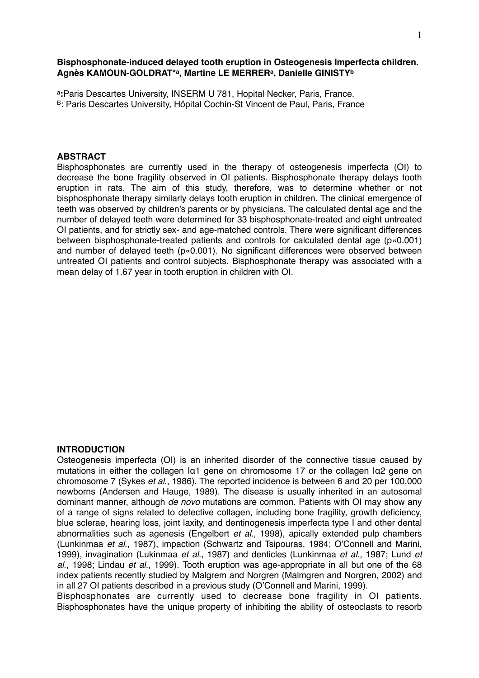### **Bisphosphonate-induced delayed tooth eruption in Osteogenesis Imperfecta children. Agnès KAMOUN-GOLDRAT\*a, Martine LE MERRERa, Danielle GINISTYb**

**a:**Paris Descartes University, INSERM U 781, Hopital Necker, Paris, France. B: Paris Descartes University, Hôpital Cochin-St Vincent de Paul, Paris, France

#### **ABSTRACT**

Bisphosphonates are currently used in the therapy of osteogenesis imperfecta (OI) to decrease the bone fragility observed in OI patients. Bisphosphonate therapy delays tooth eruption in rats. The aim of this study, therefore, was to determine whether or not bisphosphonate therapy similarly delays tooth eruption in children. The clinical emergence of teeth was observed by children's parents or by physicians. The calculated dental age and the number of delayed teeth were determined for 33 bisphosphonate-treated and eight untreated OI patients, and for strictly sex- and age-matched controls. There were significant differences between bisphosphonate-treated patients and controls for calculated dental age (p«0.001) and number of delayed teeth (p«0.001). No significant differences were observed between untreated OI patients and control subjects. Bisphosphonate therapy was associated with a mean delay of 1.67 year in tooth eruption in children with OI.

#### **INTRODUCTION**

Osteogenesis imperfecta (OI) is an inherited disorder of the connective tissue caused by mutations in either the collagen Iα1 gene on chromosome 17 or the collagen Iα2 gene on chromosome 7 (Sykes *et al*., 1986). The reported incidence is between 6 and 20 per 100,000 newborns (Andersen and Hauge, 1989). The disease is usually inherited in an autosomal dominant manner, although *de novo* mutations are common. Patients with OI may show any of a range of signs related to defective collagen, including bone fragility, growth deficiency, blue sclerae, hearing loss, joint laxity, and dentinogenesis imperfecta type I and other dental abnormalities such as agenesis (Engelbert *et al*., 1998), apically extended pulp chambers (Lunkinmaa *et al*., 1987), impaction (Schwartz and Tsipouras, 1984; O'Connell and Marini, 1999), invagination (Lukinmaa *et al*., 1987) and denticles (Lunkinmaa *et al*., 1987; Lund *et al*., 1998; Lindau *et al*., 1999). Tooth eruption was age-appropriate in all but one of the 68 index patients recently studied by Malgrem and Norgren (Malmgren and Norgren, 2002) and in all 27 OI patients described in a previous study (O'Connell and Marini, 1999).

Bisphosphonates are currently used to decrease bone fragility in OI patients. Bisphosphonates have the unique property of inhibiting the ability of osteoclasts to resorb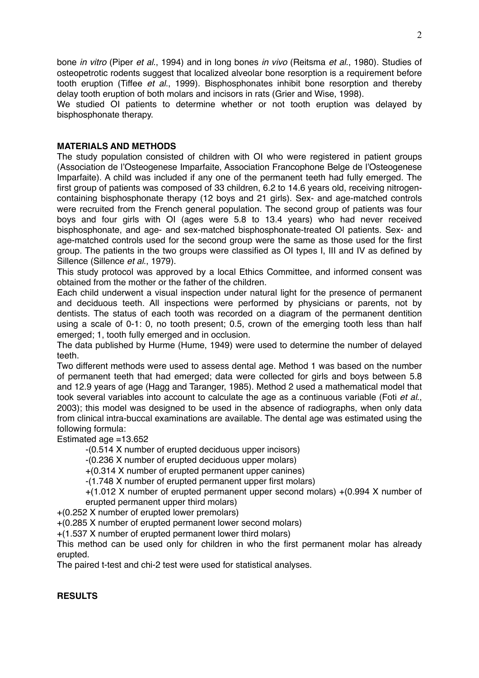bone *in vitro* (Piper *et al*., 1994) and in long bones *in vivo* (Reitsma *et al*., 1980). Studies of osteopetrotic rodents suggest that localized alveolar bone resorption is a requirement before tooth eruption (Tiffee *et al*., 1999). Bisphosphonates inhibit bone resorption and thereby delay tooth eruption of both molars and incisors in rats (Grier and Wise, 1998).

We studied OI patients to determine whether or not tooth eruption was delayed by bisphosphonate therapy.

### **MATERIALS AND METHODS**

The study population consisted of children with OI who were registered in patient groups (Association de l'Osteogenese Imparfaite, Association Francophone Belge de l'Osteogenese Imparfaite). A child was included if any one of the permanent teeth had fully emerged. The first group of patients was composed of 33 children, 6.2 to 14.6 years old, receiving nitrogencontaining bisphosphonate therapy (12 boys and 21 girls). Sex- and age-matched controls were recruited from the French general population. The second group of patients was four boys and four girls with OI (ages were 5.8 to 13.4 years) who had never received bisphosphonate, and age- and sex-matched bisphosphonate-treated OI patients. Sex- and age-matched controls used for the second group were the same as those used for the first group. The patients in the two groups were classified as OI types I, III and IV as defined by Sillence (Sillence *et al*., 1979).

This study protocol was approved by a local Ethics Committee, and informed consent was obtained from the mother or the father of the children.

Each child underwent a visual inspection under natural light for the presence of permanent and deciduous teeth. All inspections were performed by physicians or parents, not by dentists. The status of each tooth was recorded on a diagram of the permanent dentition using a scale of 0-1: 0, no tooth present; 0.5, crown of the emerging tooth less than half emerged; 1, tooth fully emerged and in occlusion.

The data published by Hurme (Hume, 1949) were used to determine the number of delayed teeth.

Two different methods were used to assess dental age. Method 1 was based on the number of permanent teeth that had emerged; data were collected for girls and boys between 5.8 and 12.9 years of age (Hagg and Taranger, 1985). Method 2 used a mathematical model that took several variables into account to calculate the age as a continuous variable (Foti *et al*., 2003); this model was designed to be used in the absence of radiographs, when only data from clinical intra-buccal examinations are available. The dental age was estimated using the following formula:

#### Estimated age =13.652

-(0.514 X number of erupted deciduous upper incisors)

-(0.236 X number of erupted deciduous upper molars)

+(0.314 X number of erupted permanent upper canines)

-(1.748 X number of erupted permanent upper first molars)

+(1.012 X number of erupted permanent upper second molars) +(0.994 X number of erupted permanent upper third molars)

+(0.252 X number of erupted lower premolars)

+(0.285 X number of erupted permanent lower second molars)

+(1.537 X number of erupted permanent lower third molars)

This method can be used only for children in who the first permanent molar has already erupted.

The paired t-test and chi-2 test were used for statistical analyses.

# **RESULTS**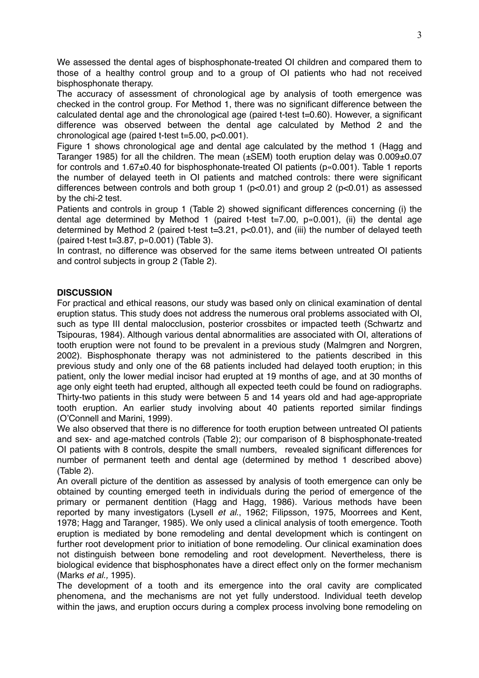We assessed the dental ages of bisphosphonate-treated OI children and compared them to those of a healthy control group and to a group of OI patients who had not received bisphosphonate therapy.

The accuracy of assessment of chronological age by analysis of tooth emergence was checked in the control group. For Method 1, there was no significant difference between the calculated dental age and the chronological age (paired t-test t=0.60). However, a significant difference was observed between the dental age calculated by Method 2 and the chronological age (paired t-test t=5.00, p<0.001).

Figure 1 shows chronological age and dental age calculated by the method 1 (Hagg and Taranger 1985) for all the children. The mean (±SEM) tooth eruption delay was 0.009±0.07 for controls and 1.67±0.40 for bisphosphonate-treated OI patients (p«0.001). Table 1 reports the number of delayed teeth in OI patients and matched controls: there were significant differences between controls and both group 1 (p<0.01) and group 2 (p<0.01) as assessed by the chi-2 test.

Patients and controls in group 1 (Table 2) showed significant differences concerning (i) the dental age determined by Method 1 (paired t-test t=7.00, p«0.001), (ii) the dental age determined by Method 2 (paired t-test t=3.21, p<0.01), and (iii) the number of delayed teeth (paired t-test t=3.87, p«0.001) (Table 3).

In contrast, no difference was observed for the same items between untreated OI patients and control subjects in group 2 (Table 2).

# **DISCUSSION**

For practical and ethical reasons, our study was based only on clinical examination of dental eruption status. This study does not address the numerous oral problems associated with OI, such as type III dental malocclusion, posterior crossbites or impacted teeth (Schwartz and Tsipouras, 1984). Although various dental abnormalities are associated with OI, alterations of tooth eruption were not found to be prevalent in a previous study (Malmgren and Norgren, 2002). Bisphosphonate therapy was not administered to the patients described in this previous study and only one of the 68 patients included had delayed tooth eruption; in this patient, only the lower medial incisor had erupted at 19 months of age, and at 30 months of age only eight teeth had erupted, although all expected teeth could be found on radiographs. Thirty-two patients in this study were between 5 and 14 years old and had age-appropriate tooth eruption. An earlier study involving about 40 patients reported similar findings (O'Connell and Marini, 1999).

We also observed that there is no difference for tooth eruption between untreated OI patients and sex- and age-matched controls (Table 2); our comparison of 8 bisphosphonate-treated OI patients with 8 controls, despite the small numbers, revealed significant differences for number of permanent teeth and dental age (determined by method 1 described above) (Table 2).

An overall picture of the dentition as assessed by analysis of tooth emergence can only be obtained by counting emerged teeth in individuals during the period of emergence of the primary or permanent dentition (Hagg and Hagg, 1986). Various methods have been reported by many investigators (Lysell *et al*., 1962; Filipsson, 1975, Moorrees and Kent, 1978; Hagg and Taranger, 1985). We only used a clinical analysis of tooth emergence. Tooth eruption is mediated by bone remodeling and dental development which is contingent on further root development prior to initiation of bone remodeling. Our clinical examination does not distinguish between bone remodeling and root development. Nevertheless, there is biological evidence that bisphosphonates have a direct effect only on the former mechanism (Marks *et al.,* 1995).

The development of a tooth and its emergence into the oral cavity are complicated phenomena, and the mechanisms are not yet fully understood. Individual teeth develop within the jaws, and eruption occurs during a complex process involving bone remodeling on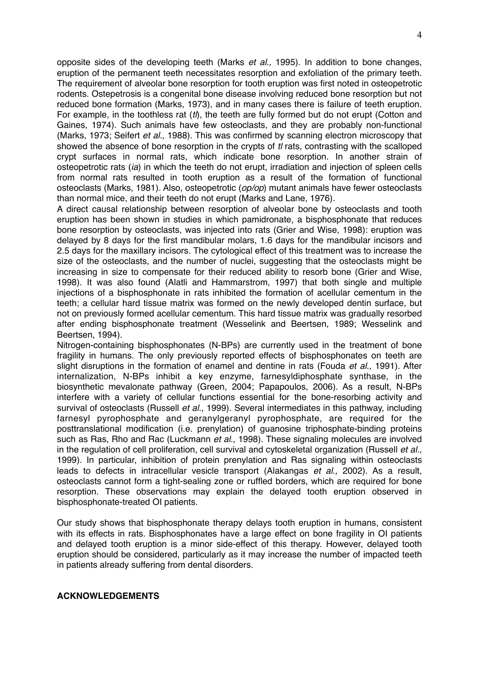opposite sides of the developing teeth (Marks *et al.,* 1995). In addition to bone changes, eruption of the permanent teeth necessitates resorption and exfoliation of the primary teeth. The requirement of alveolar bone resorption for tooth eruption was first noted in osteopetrotic rodents. Ostepetrosis is a congenital bone disease involving reduced bone resorption but not reduced bone formation (Marks, 1973), and in many cases there is failure of teeth eruption. For example, in the toothless rat (*tl*), the teeth are fully formed but do not erupt (Cotton and Gaines, 1974). Such animals have few osteoclasts, and they are probably non-functional (Marks, 1973; Seifert *et al.,* 1988). This was confirmed by scanning electron microscopy that showed the absence of bone resorption in the crypts of *tl* rats, contrasting with the scalloped crypt surfaces in normal rats, which indicate bone resorption. In another strain of osteopetrotic rats (*ia*) in which the teeth do not erupt, irradiation and injection of spleen cells from normal rats resulted in tooth eruption as a result of the formation of functional osteoclasts (Marks, 1981). Also, osteopetrotic (*op/op*) mutant animals have fewer osteoclasts than normal mice, and their teeth do not erupt (Marks and Lane, 1976).

A direct causal relationship between resorption of alveolar bone by osteoclasts and tooth eruption has been shown in studies in which pamidronate, a bisphosphonate that reduces bone resorption by osteoclasts, was injected into rats (Grier and Wise, 1998): eruption was delayed by 8 days for the first mandibular molars, 1.6 days for the mandibular incisors and 2.5 days for the maxillary incisors. The cytological effect of this treatment was to increase the size of the osteoclasts, and the number of nuclei, suggesting that the osteoclasts might be increasing in size to compensate for their reduced ability to resorb bone (Grier and Wise, 1998). It was also found (Alatli and Hammarstrom, 1997) that both single and multiple injections of a bisphosphonate in rats inhibited the formation of acellular cementum in the teeth; a cellular hard tissue matrix was formed on the newly developed dentin surface, but not on previously formed acellular cementum. This hard tissue matrix was gradually resorbed after ending bisphosphonate treatment (Wesselink and Beertsen, 1989; Wesselink and Beertsen, 1994).

Nitrogen-containing bisphosphonates (N-BPs) are currently used in the treatment of bone fragility in humans. The only previously reported effects of bisphosphonates on teeth are slight disruptions in the formation of enamel and dentine in rats (Fouda *et al.,* 1991). After internalization, N-BPs inhibit a key enzyme, farnesyldiphosphate synthase, in the biosynthetic mevalonate pathway (Green, 2004; Papapoulos, 2006). As a result, N-BPs interfere with a variety of cellular functions essential for the bone-resorbing activity and survival of osteoclasts (Russell *et al.,* 1999). Several intermediates in this pathway, including farnesyl pyrophosphate and geranylgeranyl pyrophosphate, are required for the posttranslational modification (i.e. prenylation) of guanosine triphosphate-binding proteins such as Ras, Rho and Rac (Luckmann *et al.,* 1998). These signaling molecules are involved in the regulation of cell proliferation, cell survival and cytoskeletal organization (Russell *et al.,* 1999). In particular, inhibition of protein prenylation and Ras signaling within osteoclasts leads to defects in intracellular vesicle transport (Alakangas *et al.,* 2002). As a result, osteoclasts cannot form a tight-sealing zone or ruffled borders, which are required for bone resorption. These observations may explain the delayed tooth eruption observed in bisphosphonate-treated OI patients.

Our study shows that bisphosphonate therapy delays tooth eruption in humans, consistent with its effects in rats. Bisphosphonates have a large effect on bone fragility in OI patients and delayed tooth eruption is a minor side-effect of this therapy. However, delayed tooth eruption should be considered, particularly as it may increase the number of impacted teeth in patients already suffering from dental disorders.

#### **ACKNOWLEDGEMENTS**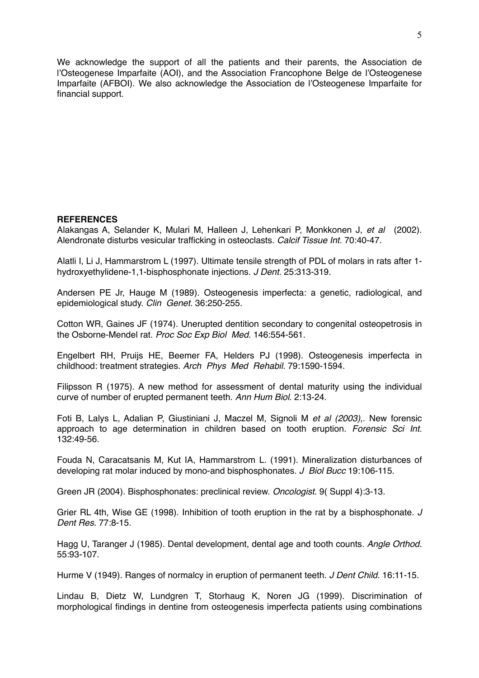We acknowledge the support of all the patients and their parents, the Association de l'Osteogenese Imparfaite (AOI), and the Association Francophone Belge de l'Osteogenese Imparfaite (AFBOI). We also acknowledge the Association de l'Osteogenese Imparfaite for financial support.

### **REFERENCES**

[Alakangas A,](http://www.ncbi.nlm.nih.gov/entrez/query.fcgi?db=pubmed&cmd=Search&itool=pubmed_Abstract&term=%2522Alakangas+A%2522%255BAuthor%255D) [Selander K,](http://www.ncbi.nlm.nih.gov/entrez/query.fcgi?db=pubmed&cmd=Search&itool=pubmed_Abstract&term=%2522Selander+K%2522%255BAuthor%255D) [Mulari M,](http://www.ncbi.nlm.nih.gov/entrez/query.fcgi?db=pubmed&cmd=Search&itool=pubmed_Abstract&term=%2522Mulari+M%2522%255BAuthor%255D) [Halleen J](http://www.ncbi.nlm.nih.gov/entrez/query.fcgi?db=pubmed&cmd=Search&itool=pubmed_Abstract&term=%2522Halleen+J%2522%255BAuthor%255D), [Lehenkari P,](http://www.ncbi.nlm.nih.gov/entrez/query.fcgi?db=pubmed&cmd=Search&itool=pubmed_Abstract&term=%2522Lehenkari+P%2522%255BAuthor%255D) [Monkkonen J](http://www.ncbi.nlm.nih.gov/entrez/query.fcgi?db=pubmed&cmd=Search&itool=pubmed_Abstract&term=%2522Monkkonen+J%2522%255BAuthor%255D), *et al* (2002). Alendronate disturbs vesicular trafficking in osteoclasts. *Calcif Tissue Int.* 70:40-47.

[Alatli I,](http://www.ncbi.nlm.nih.gov/entrez/query.fcgi?db=pubmed&cmd=Search&itool=pubmed_Abstract&term=%2522Alatli+I%2522%255BAuthor%255D) [Li J](http://www.ncbi.nlm.nih.gov/entrez/query.fcgi?db=pubmed&cmd=Search&itool=pubmed_Abstract&term=%2522Li+J%2522%255BAuthor%255D), [Hammarstrom L](http://www.ncbi.nlm.nih.gov/entrez/query.fcgi?db=pubmed&cmd=Search&itool=pubmed_Abstract&term=%2522Hammarstrom+L%2522%255BAuthor%255D) (1997). Ultimate tensile strength of PDL of molars in rats after 1 hydroxyethylidene-1,1-bisphosphonate injections. *J Dent.* 25:313-319.

[Andersen PE Jr](http://www.ncbi.nlm.nih.gov/entrez/query.fcgi?db=pubmed&cmd=Search&itool=pubmed_Abstract&term=%2522Andersen+PE+Jr%2522%255BAuthor%255D), [Hauge M](http://www.ncbi.nlm.nih.gov/entrez/query.fcgi?db=pubmed&cmd=Search&itool=pubmed_Abstract&term=%2522Hauge+M%2522%255BAuthor%255D) (1989). Osteogenesis imperfecta: a genetic, radiological, and epidemiological study. *Clin Genet.* 36:250-255.

[Cotton WR](http://www.ncbi.nlm.nih.gov/entrez/query.fcgi?db=pubmed&cmd=Search&itool=pubmed_Abstract&term=%2522Cotton+WR%2522%255BAuthor%255D), [Gaines JF](http://www.ncbi.nlm.nih.gov/entrez/query.fcgi?db=pubmed&cmd=Search&itool=pubmed_Abstract&term=%2522Gaines+JF%2522%255BAuthor%255D) (1974). Unerupted dentition secondary to congenital osteopetrosis in the Osborne-Mendel rat. *Proc Soc Exp Biol Med.* 146:554-561.

[Engelbert RH,](http://www.ncbi.nlm.nih.gov/entrez/query.fcgi?db=pubmed&cmd=Search&itool=pubmed_Abstract&term=%2522Engelbert+RH%2522%255BAuthor%255D) [Pruijs HE,](http://www.ncbi.nlm.nih.gov/entrez/query.fcgi?db=pubmed&cmd=Search&itool=pubmed_Abstract&term=%2522Pruijs+HE%2522%255BAuthor%255D) [Beemer FA](http://www.ncbi.nlm.nih.gov/entrez/query.fcgi?db=pubmed&cmd=Search&itool=pubmed_Abstract&term=%2522Beemer+FA%2522%255BAuthor%255D), [Helders PJ](http://www.ncbi.nlm.nih.gov/entrez/query.fcgi?db=pubmed&cmd=Search&itool=pubmed_Abstract&term=%2522Helders+PJ%2522%255BAuthor%255D) (1998). Osteogenesis imperfecta in childhood: treatment strategies. *Arch Phys Med Rehabil.* 79:1590-1594.

Filipsson R (1975). A new method for assessment of dental maturity using the individual curve of number of erupted permanent teeth. *Ann Hum Biol*. 2:13-24.

[Foti B](http://www.ncbi.nlm.nih.gov/entrez/query.fcgi?db=pubmed&cmd=Search&itool=pubmed_Abstract&term=%2522Foti+B%2522%255BAuthor%255D), [Lalys L](http://www.ncbi.nlm.nih.gov/entrez/query.fcgi?db=pubmed&cmd=Search&itool=pubmed_Abstract&term=%2522Lalys+L%2522%255BAuthor%255D), [Adalian P,](http://www.ncbi.nlm.nih.gov/entrez/query.fcgi?db=pubmed&cmd=Search&itool=pubmed_Abstract&term=%2522Adalian+P%2522%255BAuthor%255D) [Giustiniani J](http://www.ncbi.nlm.nih.gov/entrez/query.fcgi?db=pubmed&cmd=Search&itool=pubmed_Abstract&term=%2522Giustiniani+J%2522%255BAuthor%255D), [Maczel M](http://www.ncbi.nlm.nih.gov/entrez/query.fcgi?db=pubmed&cmd=Search&itool=pubmed_Abstract&term=%2522Maczel+M%2522%255BAuthor%255D), [Signoli M](http://www.ncbi.nlm.nih.gov/entrez/query.fcgi?db=pubmed&cmd=Search&itool=pubmed_Abstract&term=%2522Signoli+M%2522%255BAuthor%255D) *et al (2003)*,. New forensic approach to age determination in children based on tooth eruption. *Forensic Sci Int.* 132:49-56.

Fouda N, Caracatsanis M, Kut IA, Hammarstrom L. (1991). Mineralization disturbances of developing rat molar induced by mono-and bisphosphonates. *J Biol Bucc* 19:106-115.

Green JR (2004). Bisphosphonates: preclinical review. *Oncologist.* 9( Suppl 4):3-13.

[Grier RL 4th](http://www.ncbi.nlm.nih.gov/entrez/query.fcgi?db=pubmed&cmd=Search&itool=pubmed_Abstract&term=%2522Grier+RL+4th%2522%255BAuthor%255D), [Wise GE](http://www.ncbi.nlm.nih.gov/entrez/query.fcgi?db=pubmed&cmd=Search&itool=pubmed_Abstract&term=%2522Wise+GE%2522%255BAuthor%255D) (1998). Inhibition of tooth eruption in the rat by a bisphosphonate. *J Dent Res.* 77:8-15.

[Hagg U](http://www.ncbi.nlm.nih.gov/entrez/query.fcgi?db=pubmed&cmd=Search&itool=pubmed_Abstract&term=%2522Hagg+U%2522%255BAuthor%255D), [Taranger J](http://www.ncbi.nlm.nih.gov/entrez/query.fcgi?db=pubmed&cmd=Search&itool=pubmed_Abstract&term=%2522Taranger+J%2522%255BAuthor%255D) (1985). Dental development, dental age and tooth counts. *Angle Orthod.* 55:93-107.

Hurme V (1949). Ranges of normalcy in eruption of permanent teeth. *J Dent Child.* 16:11-15.

[Lindau B](http://www.ncbi.nlm.nih.gov/entrez/query.fcgi?db=pubmed&cmd=Search&itool=pubmed_Abstract&term=%2522Lindau+B%2522%255BAuthor%255D), [Dietz W,](http://www.ncbi.nlm.nih.gov/entrez/query.fcgi?db=pubmed&cmd=Search&itool=pubmed_Abstract&term=%2522Dietz+W%2522%255BAuthor%255D) [Lundgren T,](http://www.ncbi.nlm.nih.gov/entrez/query.fcgi?db=pubmed&cmd=Search&itool=pubmed_Abstract&term=%2522Lundgren+T%2522%255BAuthor%255D) [Storhaug K](http://www.ncbi.nlm.nih.gov/entrez/query.fcgi?db=pubmed&cmd=Search&itool=pubmed_Abstract&term=%2522Storhaug+K%2522%255BAuthor%255D), [Noren JG](http://www.ncbi.nlm.nih.gov/entrez/query.fcgi?db=pubmed&cmd=Search&itool=pubmed_Abstract&term=%2522Noren+JG%2522%255BAuthor%255D) (1999). Discrimination of morphological findings in dentine from osteogenesis imperfecta patients using combinations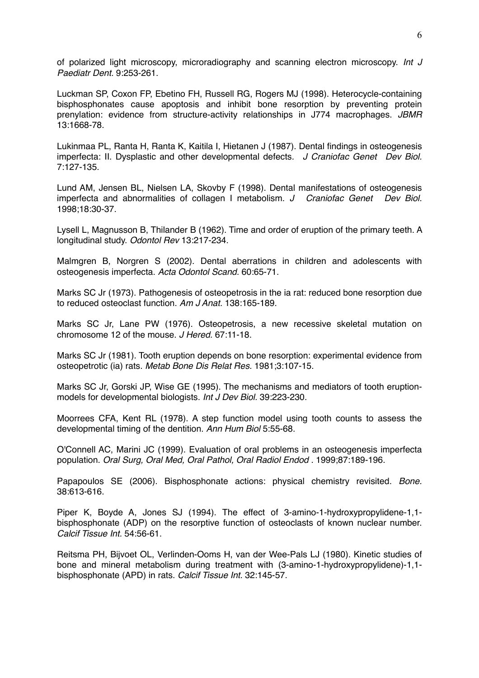of polarized light microscopy, microradiography and scanning electron microscopy. *Int J Paediatr Dent.* 9:253-261.

[Luckman SP,](http://www.ncbi.nlm.nih.gov/entrez/query.fcgi?db=pubmed&cmd=Search&itool=pubmed_Abstract&term=%2522Luckman+SP%2522%255BAuthor%255D) [Coxon FP,](http://www.ncbi.nlm.nih.gov/entrez/query.fcgi?db=pubmed&cmd=Search&itool=pubmed_Abstract&term=%2522Coxon+FP%2522%255BAuthor%255D) [Ebetino FH](http://www.ncbi.nlm.nih.gov/entrez/query.fcgi?db=pubmed&cmd=Search&itool=pubmed_Abstract&term=%2522Ebetino+FH%2522%255BAuthor%255D), [Russell RG,](http://www.ncbi.nlm.nih.gov/entrez/query.fcgi?db=pubmed&cmd=Search&itool=pubmed_Abstract&term=%2522Russell+RG%2522%255BAuthor%255D) [Rogers MJ](http://www.ncbi.nlm.nih.gov/entrez/query.fcgi?db=pubmed&cmd=Search&itool=pubmed_Abstract&term=%2522Rogers+MJ%2522%255BAuthor%255D) (1998). Heterocycle-containing bisphosphonates cause apoptosis and inhibit bone resorption by preventing protein prenylation: evidence from structure-activity relationships in J774 macrophages. *JBMR*  13:1668-78.

[Lukinmaa PL](http://www.ncbi.nlm.nih.gov/entrez/query.fcgi?db=pubmed&cmd=Search&itool=pubmed_Abstract&term=%2522Lukinmaa+PL%2522%255BAuthor%255D), [Ranta H](http://www.ncbi.nlm.nih.gov/entrez/query.fcgi?db=pubmed&cmd=Search&itool=pubmed_Abstract&term=%2522Ranta+H%2522%255BAuthor%255D), [Ranta K](http://www.ncbi.nlm.nih.gov/entrez/query.fcgi?db=pubmed&cmd=Search&itool=pubmed_Abstract&term=%2522Ranta+K%2522%255BAuthor%255D), [Kaitila I,](http://www.ncbi.nlm.nih.gov/entrez/query.fcgi?db=pubmed&cmd=Search&itool=pubmed_Abstract&term=%2522Kaitila+I%2522%255BAuthor%255D) [Hietanen J](http://www.ncbi.nlm.nih.gov/entrez/query.fcgi?db=pubmed&cmd=Search&itool=pubmed_Abstract&term=%2522Hietanen+J%2522%255BAuthor%255D) (1987). Dental findings in osteogenesis imperfecta: II. Dysplastic and other developmental defects*. J Craniofac Genet Dev Biol.*  7:127-135.

[Lund AM](http://www.ncbi.nlm.nih.gov/entrez/query.fcgi?db=pubmed&cmd=Search&itool=pubmed_Abstract&term=%2522Lund+AM%2522%255BAuthor%255D), [Jensen BL,](http://www.ncbi.nlm.nih.gov/entrez/query.fcgi?db=pubmed&cmd=Search&itool=pubmed_Abstract&term=%2522Jensen+BL%2522%255BAuthor%255D) [Nielsen LA](http://www.ncbi.nlm.nih.gov/entrez/query.fcgi?db=pubmed&cmd=Search&itool=pubmed_Abstract&term=%2522Nielsen+LA%2522%255BAuthor%255D), [Skovby F](http://www.ncbi.nlm.nih.gov/entrez/query.fcgi?db=pubmed&cmd=Search&itool=pubmed_Abstract&term=%2522Skovby+F%2522%255BAuthor%255D) (1998). Dental manifestations of osteogenesis imperfecta and abnormalities of collagen I metabolism. *J Craniofac Genet Dev Biol.* 1998;18:30-37.

Lysell L, Magnusson B, Thilander B (1962). Time and order of eruption of the primary teeth. A longitudinal study. *Odontol Rev* 13:217-234.

Malmgren B, [Norgren S](http://www.ncbi.nlm.nih.gov/entrez/query.fcgi?db=pubmed&cmd=Search&itool=pubmed_Abstract&term=%2522Norgren+S%2522%255BAuthor%255D) (2002). Dental aberrations in children and adolescents with osteogenesis imperfecta. *Acta Odontol Scand.* 60:65-71.

[Marks SC Jr](http://www.ncbi.nlm.nih.gov/entrez/query.fcgi?db=pubmed&cmd=Search&itool=pubmed_Abstract&term=%2522Marks+SC+Jr%2522%255BAuthor%255D) (1973). Pathogenesis of osteopetrosis in the ia rat: reduced bone resorption due to reduced osteoclast function. *Am J Anat.* 138:165-189.

[Marks SC Jr,](http://www.ncbi.nlm.nih.gov/entrez/query.fcgi?db=pubmed&cmd=Search&itool=pubmed_Abstract&term=%2522Marks+SC+Jr%2522%255BAuthor%255D) [Lane PW](http://www.ncbi.nlm.nih.gov/entrez/query.fcgi?db=pubmed&cmd=Search&itool=pubmed_Abstract&term=%2522Lane+PW%2522%255BAuthor%255D) (1976). Osteopetrosis, a new recessive skeletal mutation on chromosome 12 of the mouse. *J Hered.* 67:11-18.

[Marks SC Jr](http://www.ncbi.nlm.nih.gov/entrez/query.fcgi?db=pubmed&cmd=Search&itool=pubmed_Abstract&term=%2522Marks+SC+Jr%2522%255BAuthor%255D) (1981). Tooth eruption depends on bone resorption: experimental evidence from osteopetrotic (ia) rats. *Metab Bone Dis Relat Res.* 1981;3:107-15.

[Marks SC Jr,](http://www.ncbi.nlm.nih.gov/entrez/query.fcgi?db=pubmed&cmd=Search&itool=pubmed_Abstract&term=%2522Marks+SC+Jr%2522%255BAuthor%255D) [Gorski JP,](http://www.ncbi.nlm.nih.gov/entrez/query.fcgi?db=pubmed&cmd=Search&itool=pubmed_Abstract&term=%2522Gorski+JP%2522%255BAuthor%255D) [Wise GE](http://www.ncbi.nlm.nih.gov/entrez/query.fcgi?db=pubmed&cmd=Search&itool=pubmed_Abstract&term=%2522Wise+GE%2522%255BAuthor%255D) (1995). The mechanisms and mediators of tooth eruptionmodels for developmental biologists. *Int J Dev Biol.* 39:223-230.

Moorrees CFA, Kent RL (1978). A step function model using tooth counts to assess the developmental timing of the dentition. *Ann Hum Biol* 5:55-68.

[O'Connell AC,](http://www.ncbi.nlm.nih.gov/entrez/query.fcgi?db=pubmed&cmd=Search&itool=pubmed_Abstract&term=%2522O%2527Connell+AC%2522%255BAuthor%255D) [Marini JC](http://www.ncbi.nlm.nih.gov/entrez/query.fcgi?db=pubmed&cmd=Search&itool=pubmed_Abstract&term=%2522Marini+JC%2522%255BAuthor%255D) (1999). Evaluation of oral problems in an osteogenesis imperfecta population. *Oral Surg, Oral Med, Oral Pathol, Oral Radiol Endod .* 1999;87:189-196.

[Papapoulos SE](http://www.ncbi.nlm.nih.gov/entrez/query.fcgi?db=pubmed&cmd=Search&itool=pubmed_Abstract&term=%2522Papapoulos+SE%2522%255BAuthor%255D) (2006). Bisphosphonate actions: physical chemistry revisited. *Bone.* 38:613-616.

[Piper K](http://www.ncbi.nlm.nih.gov/entrez/query.fcgi?db=pubmed&cmd=Search&itool=pubmed_Abstract&term=%2522Piper+K%2522%255BAuthor%255D), [Boyde A,](http://www.ncbi.nlm.nih.gov/entrez/query.fcgi?db=pubmed&cmd=Search&itool=pubmed_Abstract&term=%2522Boyde+A%2522%255BAuthor%255D) [Jones SJ](http://www.ncbi.nlm.nih.gov/entrez/query.fcgi?db=pubmed&cmd=Search&itool=pubmed_Abstract&term=%2522Jones+SJ%2522%255BAuthor%255D) (1994). The effect of 3-amino-1-hydroxypropylidene-1,1 bisphosphonate (ADP) on the resorptive function of osteoclasts of known nuclear number. *Calcif Tissue Int.* 54:56-61.

[Reitsma PH](http://www.ncbi.nlm.nih.gov/entrez/query.fcgi?db=pubmed&cmd=Search&itool=pubmed_Abstract&term=%2522Reitsma+PH%2522%255BAuthor%255D), [Bijvoet OL,](http://www.ncbi.nlm.nih.gov/entrez/query.fcgi?db=pubmed&cmd=Search&itool=pubmed_Abstract&term=%2522Bijvoet+OL%2522%255BAuthor%255D) [Verlinden-Ooms H](http://www.ncbi.nlm.nih.gov/entrez/query.fcgi?db=pubmed&cmd=Search&itool=pubmed_Abstract&term=%2522Verlinden%252DOoms+H%2522%255BAuthor%255D), [van der Wee-Pals LJ](http://www.ncbi.nlm.nih.gov/entrez/query.fcgi?db=pubmed&cmd=Search&itool=pubmed_Abstract&term=%2522van+der+Wee%252DPals+LJ%2522%255BAuthor%255D) (1980). Kinetic studies of bone and mineral metabolism during treatment with (3-amino-1-hydroxypropylidene)-1,1 bisphosphonate (APD) in rats. *Calcif Tissue Int.* 32:145-57.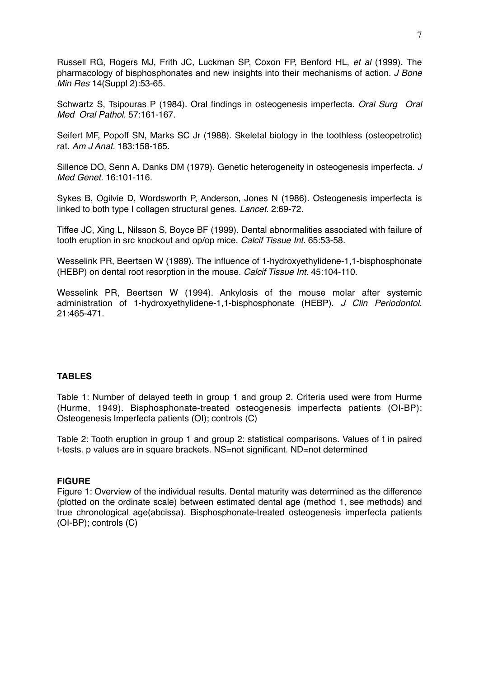[Russell RG](http://www.ncbi.nlm.nih.gov/entrez/query.fcgi?db=pubmed&cmd=Search&itool=pubmed_Abstract&term=%2522Russell+RG%2522%255BAuthor%255D), [Rogers MJ,](http://www.ncbi.nlm.nih.gov/entrez/query.fcgi?db=pubmed&cmd=Search&itool=pubmed_Abstract&term=%2522Rogers+MJ%2522%255BAuthor%255D) [Frith JC,](http://www.ncbi.nlm.nih.gov/entrez/query.fcgi?db=pubmed&cmd=Search&itool=pubmed_Abstract&term=%2522Frith+JC%2522%255BAuthor%255D) [Luckman SP,](http://www.ncbi.nlm.nih.gov/entrez/query.fcgi?db=pubmed&cmd=Search&itool=pubmed_Abstract&term=%2522Luckman+SP%2522%255BAuthor%255D) [Coxon FP,](http://www.ncbi.nlm.nih.gov/entrez/query.fcgi?db=pubmed&cmd=Search&itool=pubmed_Abstract&term=%2522Coxon+FP%2522%255BAuthor%255D) [Benford HL,](http://www.ncbi.nlm.nih.gov/entrez/query.fcgi?db=pubmed&cmd=Search&itool=pubmed_Abstract&term=%2522Benford+HL%2522%255BAuthor%255D) *et al* (1999). The pharmacology of bisphosphonates and new insights into their mechanisms of action. *J Bone Min Res* 14(Suppl 2):53-65.

Schwartz S, Tsipouras P (1984). Oral findings in osteogenesis imperfecta. *Oral Surg Oral Med Oral Pathol.* 57:161-167.

[Seifert MF,](http://www.ncbi.nlm.nih.gov/entrez/query.fcgi?db=pubmed&cmd=Search&itool=pubmed_Abstract&term=%2522Seifert+MF%2522%255BAuthor%255D) [Popoff SN](http://www.ncbi.nlm.nih.gov/entrez/query.fcgi?db=pubmed&cmd=Search&itool=pubmed_Abstract&term=%2522Popoff+SN%2522%255BAuthor%255D), [Marks SC Jr](http://www.ncbi.nlm.nih.gov/entrez/query.fcgi?db=pubmed&cmd=Search&itool=pubmed_Abstract&term=%2522Marks+SC+Jr%2522%255BAuthor%255D) (1988). Skeletal biology in the toothless (osteopetrotic) rat. *Am J Anat.* 183:158-165.

[Sillence DO](http://www.ncbi.nlm.nih.gov/entrez/query.fcgi?db=pubmed&cmd=Search&itool=pubmed_Abstract&term=%2522Sillence+DO%2522%255BAuthor%255D), [Senn A](http://www.ncbi.nlm.nih.gov/entrez/query.fcgi?db=pubmed&cmd=Search&itool=pubmed_Abstract&term=%2522Senn+A%2522%255BAuthor%255D), [Danks DM](http://www.ncbi.nlm.nih.gov/entrez/query.fcgi?db=pubmed&cmd=Search&itool=pubmed_Abstract&term=%2522Danks+DM%2522%255BAuthor%255D) (1979). Genetic heterogeneity in osteogenesis imperfecta. *J Med Genet.* 16:101-116.

[Sykes B,](http://www.ncbi.nlm.nih.gov/entrez/query.fcgi?db=pubmed&cmd=Search&itool=pubmed_Abstract&term=%2522Sykes+B%2522%255BAuthor%255D) [Ogilvie D,](http://www.ncbi.nlm.nih.gov/entrez/query.fcgi?db=pubmed&cmd=Search&itool=pubmed_Abstract&term=%2522Ogilvie+D%2522%255BAuthor%255D) [Wordsworth P,](http://www.ncbi.nlm.nih.gov/entrez/query.fcgi?db=pubmed&cmd=Search&itool=pubmed_Abstract&term=%2522Wordsworth+P%2522%255BAuthor%255D) [Anderson](http://www.ncbi.nlm.nih.gov/entrez/query.fcgi?db=pubmed&cmd=Search&itool=pubmed_Abstract&term=%2522Anderson%2522%255BAuthor%255D), [Jones N](http://www.ncbi.nlm.nih.gov/entrez/query.fcgi?db=pubmed&cmd=Search&itool=pubmed_Abstract&term=%2522Jones+N%2522%255BAuthor%255D) (1986). Osteogenesis imperfecta is linked to both type I collagen structural genes. *Lancet.* 2:69-72.

[Tiffee JC](http://www.ncbi.nlm.nih.gov/entrez/query.fcgi?db=pubmed&cmd=Search&itool=pubmed_Abstract&term=%2522Tiffee+JC%2522%255BAuthor%255D), [Xing L,](http://www.ncbi.nlm.nih.gov/entrez/query.fcgi?db=pubmed&cmd=Search&itool=pubmed_Abstract&term=%2522Xing+L%2522%255BAuthor%255D) [Nilsson S,](http://www.ncbi.nlm.nih.gov/entrez/query.fcgi?db=pubmed&cmd=Search&itool=pubmed_Abstract&term=%2522Nilsson+S%2522%255BAuthor%255D) [Boyce BF](http://www.ncbi.nlm.nih.gov/entrez/query.fcgi?db=pubmed&cmd=Search&itool=pubmed_Abstract&term=%2522Boyce+BF%2522%255BAuthor%255D) (1999). Dental abnormalities associated with failure of tooth eruption in src knockout and op/op mice. *Calcif Tissue Int.* 65:53-58.

[Wesselink PR](http://www.ncbi.nlm.nih.gov/entrez/query.fcgi?db=pubmed&cmd=Search&itool=pubmed_Abstract&term=%2522Wesselink+PR%2522%255BAuthor%255D), [Beertsen W](http://www.ncbi.nlm.nih.gov/entrez/query.fcgi?db=pubmed&cmd=Search&itool=pubmed_Abstract&term=%2522Beertsen+W%2522%255BAuthor%255D) (1989). The influence of 1-hydroxyethylidene-1,1-bisphosphonate (HEBP) on dental root resorption in the mouse. *Calcif Tissue Int.* 45:104-110.

[Wesselink PR,](http://www.ncbi.nlm.nih.gov/entrez/query.fcgi?db=pubmed&cmd=Search&itool=pubmed_Abstract&term=%2522Wesselink+PR%2522%255BAuthor%255D) [Beertsen W](http://www.ncbi.nlm.nih.gov/entrez/query.fcgi?db=pubmed&cmd=Search&itool=pubmed_Abstract&term=%2522Beertsen+W%2522%255BAuthor%255D) (1994). Ankylosis of the mouse molar after systemic administration of 1-hydroxyethylidene-1,1-bisphosphonate (HEBP). *J Clin Periodontol.* 21:465-471.

# **TABLES**

Table 1: Number of delayed teeth in group 1 and group 2. Criteria used were from Hurme (Hurme, 1949). Bisphosphonate-treated osteogenesis imperfecta patients (OI-BP); Osteogenesis Imperfecta patients (OI); controls (C)

Table 2: Tooth eruption in group 1 and group 2: statistical comparisons. Values of t in paired t-tests. p values are in square brackets. NS=not significant. ND=not determined

# **FIGURE**

Figure 1: Overview of the individual results. Dental maturity was determined as the difference (plotted on the ordinate scale) between estimated dental age (method 1, see methods) and true chronological age(abcissa). Bisphosphonate-treated osteogenesis imperfecta patients (OI-BP); controls (C)